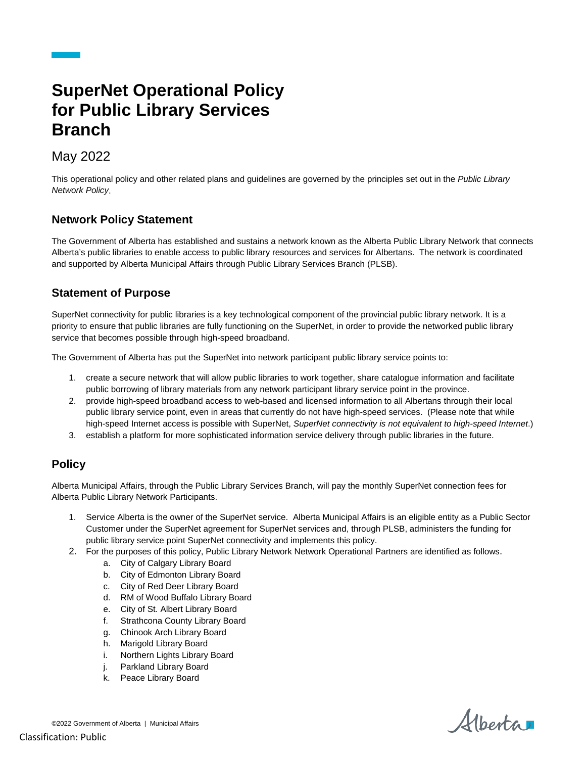# **SuperNet Operational Policy for Public Library Services Branch**

## May 2022

This operational policy and other related plans and guidelines are governed by the principles set out in the *Public Library Network Policy*.

#### **Network Policy Statement**

The Government of Alberta has established and sustains a network known as the Alberta Public Library Network that connects Alberta's public libraries to enable access to public library resources and services for Albertans. The network is coordinated and supported by Alberta Municipal Affairs through Public Library Services Branch (PLSB).

#### **Statement of Purpose**

SuperNet connectivity for public libraries is a key technological component of the provincial public library network. It is a priority to ensure that public libraries are fully functioning on the SuperNet, in order to provide the networked public library service that becomes possible through high-speed broadband.

The Government of Alberta has put the SuperNet into network participant public library service points to:

- 1. create a secure network that will allow public libraries to work together, share catalogue information and facilitate public borrowing of library materials from any network participant library service point in the province.
- 2. provide high-speed broadband access to web-based and licensed information to all Albertans through their local public library service point, even in areas that currently do not have high-speed services. (Please note that while high-speed Internet access is possible with SuperNet, *SuperNet connectivity is not equivalent to high-speed Internet*.)
- 3. establish a platform for more sophisticated information service delivery through public libraries in the future.

### **Policy**

Alberta Municipal Affairs, through the Public Library Services Branch, will pay the monthly SuperNet connection fees for Alberta Public Library Network Participants.

- 1. Service Alberta is the owner of the SuperNet service. Alberta Municipal Affairs is an eligible entity as a Public Sector Customer under the SuperNet agreement for SuperNet services and, through PLSB, administers the funding for public library service point SuperNet connectivity and implements this policy.
- 2. For the purposes of this policy, Public Library Network Network Operational Partners are identified as follows.
	- a. City of Calgary Library Board
		- b. City of Edmonton Library Board
		- c. City of Red Deer Library Board
		- d. RM of Wood Buffalo Library Board
		- e. City of St. Albert Library Board
		- f. Strathcona County Library Board
		- g. Chinook Arch Library Board
		- h. Marigold Library Board
		- i. Northern Lights Library Board
		- j. Parkland Library Board
		- k. Peace Library Board

Albertar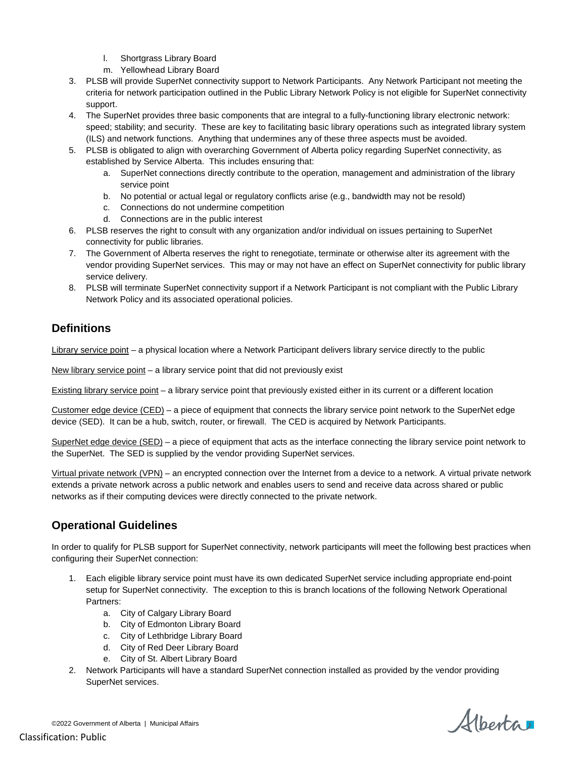- l. Shortgrass Library Board
- m. Yellowhead Library Board
- 3. PLSB will provide SuperNet connectivity support to Network Participants. Any Network Participant not meeting the criteria for network participation outlined in the Public Library Network Policy is not eligible for SuperNet connectivity support.
- 4. The SuperNet provides three basic components that are integral to a fully-functioning library electronic network: speed; stability; and security. These are key to facilitating basic library operations such as integrated library system (ILS) and network functions. Anything that undermines any of these three aspects must be avoided.
- 5. PLSB is obligated to align with overarching Government of Alberta policy regarding SuperNet connectivity, as established by Service Alberta. This includes ensuring that:
	- a. SuperNet connections directly contribute to the operation, management and administration of the library service point
	- b. No potential or actual legal or regulatory conflicts arise (e.g., bandwidth may not be resold)
	- c. Connections do not undermine competition
	- d. Connections are in the public interest
- 6. PLSB reserves the right to consult with any organization and/or individual on issues pertaining to SuperNet connectivity for public libraries.
- 7. The Government of Alberta reserves the right to renegotiate, terminate or otherwise alter its agreement with the vendor providing SuperNet services. This may or may not have an effect on SuperNet connectivity for public library service delivery.
- 8. PLSB will terminate SuperNet connectivity support if a Network Participant is not compliant with the Public Library Network Policy and its associated operational policies.

## **Definitions**

Library service point – a physical location where a Network Participant delivers library service directly to the public

New library service point – a library service point that did not previously exist

Existing library service point – a library service point that previously existed either in its current or a different location

Customer edge device (CED) – a piece of equipment that connects the library service point network to the SuperNet edge device (SED). It can be a hub, switch, router, or firewall. The CED is acquired by Network Participants.

SuperNet edge device (SED) – a piece of equipment that acts as the interface connecting the library service point network to the SuperNet. The SED is supplied by the vendor providing SuperNet services.

Virtual private network (VPN) – an encrypted connection over the Internet from a device to a network. A virtual private network extends a private network across a public network and enables users to send and receive data across shared or public networks as if their computing devices were directly connected to the private network.

### **Operational Guidelines**

In order to qualify for PLSB support for SuperNet connectivity, network participants will meet the following best practices when configuring their SuperNet connection:

- 1. Each eligible library service point must have its own dedicated SuperNet service including appropriate end-point setup for SuperNet connectivity. The exception to this is branch locations of the following Network Operational Partners:
	- a. City of Calgary Library Board
	- b. City of Edmonton Library Board
	- c. City of Lethbridge Library Board
	- d. City of Red Deer Library Board
	- e. City of St. Albert Library Board
- 2. Network Participants will have a standard SuperNet connection installed as provided by the vendor providing SuperNet services.